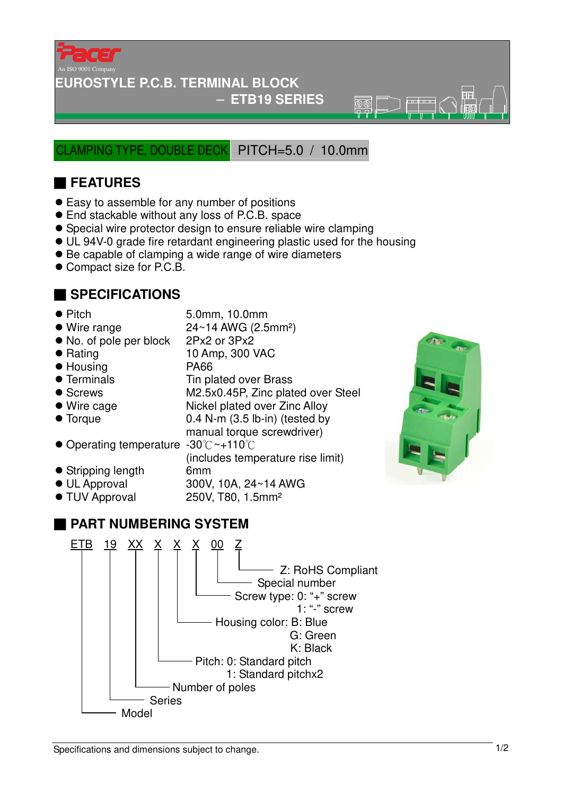

#### **EUROSTYLE P.C.B. TERMINAL BLOCK**

#### − **ETB19 SERIES**

 $\overline{\mathbb{R}}\overline{\mathbb{R}}$ 

CLAMPING TYPE, DOUBLE DECK PITCH=5.0 / 10.0mm

## ■ **FEATURES**

- Easy to assemble for any number of positions
- End stackable without any loss of P.C.B. space
- Special wire protector design to ensure reliable wire clamping
- UL 94V-0 grade fire retardant engineering plastic used for the housing
- Be capable of clamping a wide range of wire diameters
- Compact size for P.C.B.

## ■ **SPECIFICATIONS**

(includes temperature rise limit)

- Pitch 5.0mm, 10.0mm<br>● Wire range 24~14 AWG (2.5 24~14 AWG (2.5mm<sup>2</sup>)
- No. of pole per block 2Px2 or 3Px2
- Rating 10 Amp, 300 VAC
- Housing PA66
- Terminals Tin plated over Brass
- Screws M2.5x0.45P, Zinc plated over Steel
- Wire cage Nickel plated over Zinc Alloy
- Torque 0.4 N-m (3.5 lb-in) (tested by
- manual torque screwdriver) ● Operating temperature -30°C ~+110°C
- 
- Stripping length 6mm
- UL Approval 300V, 10A, 24~14 AWG
- TUV Approval 250V, T80, 1.5mm<sup>2</sup>

## ■ **PART NUMBERING SYSTEM**